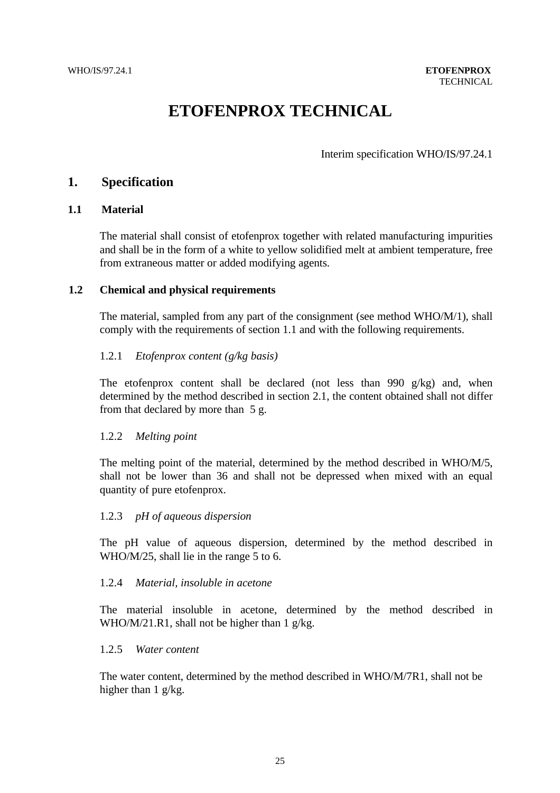# **ETOFENPROX TECHNICAL**

Interim specification WHO/IS/97.24.1

# **1. Specification**

## **1.1 Material**

The material shall consist of etofenprox together with related manufacturing impurities and shall be in the form of a white to yellow solidified melt at ambient temperature, free from extraneous matter or added modifying agents.

## **1.2 Chemical and physical requirements**

The material, sampled from any part of the consignment (see method WHO/M/1), shall comply with the requirements of section 1.1 and with the following requirements.

# 1.2.1 *Etofenprox content (g/kg basis)*

The etofenprox content shall be declared (not less than 990 g/kg) and, when determined by the method described in section 2.1, the content obtained shall not differ from that declared by more than 5 g.

# 1.2.2 *Melting point*

The melting point of the material, determined by the method described in WHO/M/5, shall not be lower than 36 and shall not be depressed when mixed with an equal quantity of pure etofenprox.

# 1.2.3 *pH of aqueous dispersion*

The pH value of aqueous dispersion, determined by the method described in WHO/M/25, shall lie in the range 5 to 6.

#### 1.2.4 *Material, insoluble in acetone*

The material insoluble in acetone, determined by the method described in WHO/M/21.R1, shall not be higher than 1 g/kg.

#### 1.2.5 *Water content*

The water content, determined by the method described in WHO/M/7R1, shall not be higher than 1 g/kg.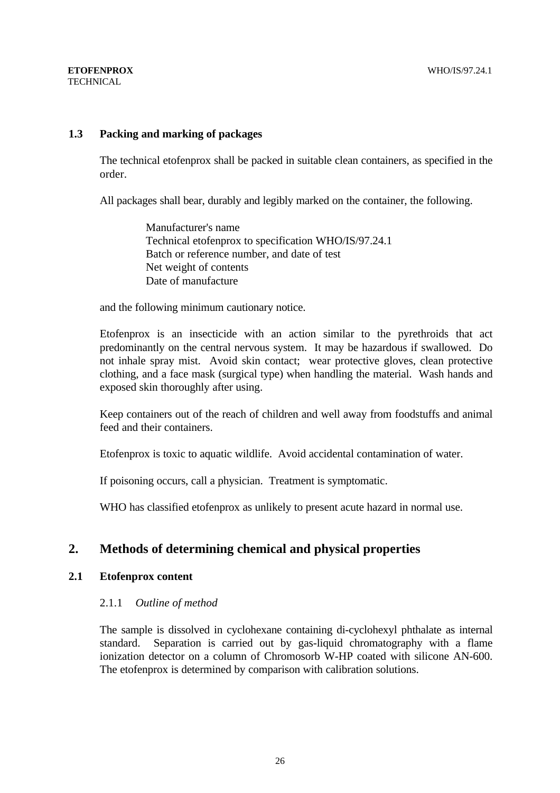# **1.3 Packing and marking of packages**

The technical etofenprox shall be packed in suitable clean containers, as specified in the order.

All packages shall bear, durably and legibly marked on the container, the following.

 Manufacturer's name Technical etofenprox to specification WHO/IS/97.24.1 Batch or reference number, and date of test Net weight of contents Date of manufacture

and the following minimum cautionary notice.

Etofenprox is an insecticide with an action similar to the pyrethroids that act predominantly on the central nervous system. It may be hazardous if swallowed. Do not inhale spray mist. Avoid skin contact; wear protective gloves, clean protective clothing, and a face mask (surgical type) when handling the material. Wash hands and exposed skin thoroughly after using.

Keep containers out of the reach of children and well away from foodstuffs and animal feed and their containers.

Etofenprox is toxic to aquatic wildlife. Avoid accidental contamination of water.

If poisoning occurs, call a physician. Treatment is symptomatic.

WHO has classified etofenprox as unlikely to present acute hazard in normal use.

# **2. Methods of determining chemical and physical properties**

# **2.1 Etofenprox content**

# 2.1.1 *Outline of method*

The sample is dissolved in cyclohexane containing di-cyclohexyl phthalate as internal standard. Separation is carried out by gas-liquid chromatography with a flame ionization detector on a column of Chromosorb W-HP coated with silicone AN-600. The etofenprox is determined by comparison with calibration solutions.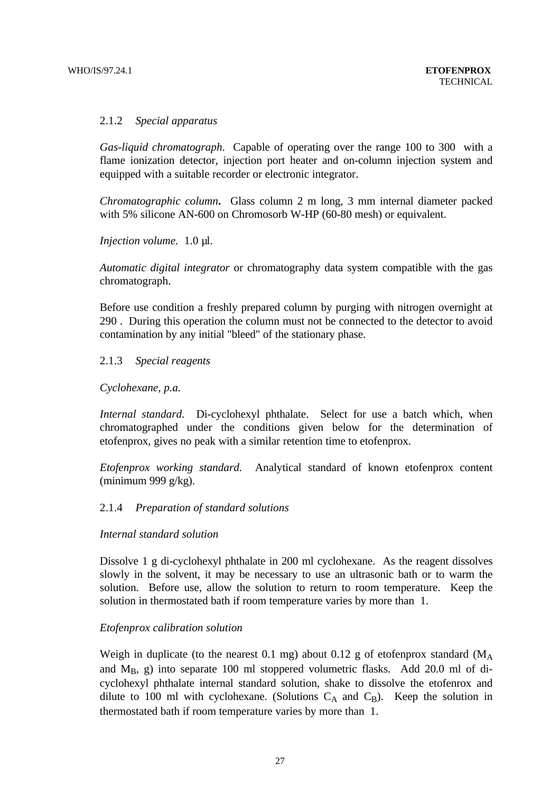# 2.1.2 *Special apparatus*

*Gas-liquid chromatograph*. Capable of operating over the range 100 to 300 with a flame ionization detector, injection port heater and on-column injection system and equipped with a suitable recorder or electronic integrator.

*Chromatographic column***.** Glass column 2 m long, 3 mm internal diameter packed with 5% silicone AN-600 on Chromosorb W-HP (60-80 mesh) or equivalent.

*Injection volume.* 1.0 µl.

*Automatic digital integrator* or chromatography data system compatible with the gas chromatograph.

Before use condition a freshly prepared column by purging with nitrogen overnight at 290 . During this operation the column must not be connected to the detector to avoid contamination by any initial "bleed" of the stationary phase.

#### 2.1.3 *Special reagents*

#### *Cyclohexane, p.a.*

*Internal standard.* Di-cyclohexyl phthalate. Select for use a batch which, when chromatographed under the conditions given below for the determination of etofenprox, gives no peak with a similar retention time to etofenprox.

*Etofenprox working standard.* Analytical standard of known etofenprox content (minimum 999 g/kg).

#### 2.1.4 *Preparation of standard solutions*

#### *Internal standard solution*

Dissolve 1 g di-cyclohexyl phthalate in 200 ml cyclohexane. As the reagent dissolves slowly in the solvent, it may be necessary to use an ultrasonic bath or to warm the solution. Before use, allow the solution to return to room temperature. Keep the solution in thermostated bath if room temperature varies by more than 1.

#### *Etofenprox calibration solution*

Weigh in duplicate (to the nearest 0.1 mg) about 0.12 g of etofenprox standard  $(M_A)$ and  $M_B$ , g) into separate 100 ml stoppered volumetric flasks. Add 20.0 ml of dicyclohexyl phthalate internal standard solution, shake to dissolve the etofenrox and dilute to 100 ml with cyclohexane. (Solutions  $C_A$  and  $C_B$ ). Keep the solution in thermostated bath if room temperature varies by more than 1.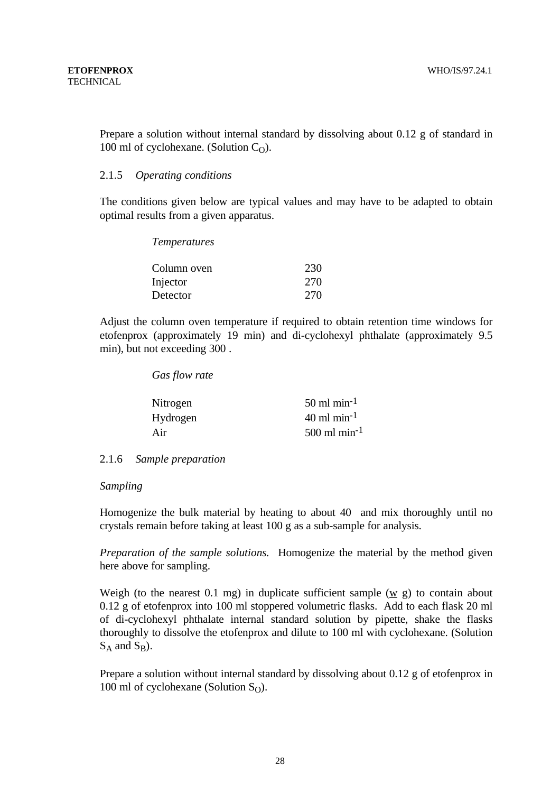Prepare a solution without internal standard by dissolving about 0.12 g of standard in 100 ml of cyclohexane. (Solution  $C_0$ ).

# 2.1.5 *Operating conditions*

The conditions given below are typical values and may have to be adapted to obtain optimal results from a given apparatus.

| <i>Temperatures</i> |     |
|---------------------|-----|
| Column oven         | 230 |
| Injector            | 270 |
| Detector            | 270 |

Adjust the column oven temperature if required to obtain retention time windows for etofenprox (approximately 19 min) and di-cyclohexyl phthalate (approximately 9.5 min), but not exceeding 300 .

*Gas flow rate*

| $50 \text{ ml min}^{-1}$   |
|----------------------------|
| $40$ ml min <sup>-1</sup>  |
| $500$ ml min <sup>-1</sup> |
|                            |

2.1.6 *Sample preparation*

# *Sampling*

Homogenize the bulk material by heating to about 40 and mix thoroughly until no crystals remain before taking at least 100 g as a sub-sample for analysis.

*Preparation of the sample solutions.* Homogenize the material by the method given here above for sampling.

Weigh (to the nearest 0.1 mg) in duplicate sufficient sample (w g) to contain about 0.12 g of etofenprox into 100 ml stoppered volumetric flasks. Add to each flask 20 ml of di-cyclohexyl phthalate internal standard solution by pipette, shake the flasks thoroughly to dissolve the etofenprox and dilute to 100 ml with cyclohexane. (Solution  $S_A$  and  $S_B$ ).

Prepare a solution without internal standard by dissolving about 0.12 g of etofenprox in 100 ml of cyclohexane (Solution  $S<sub>O</sub>$ ).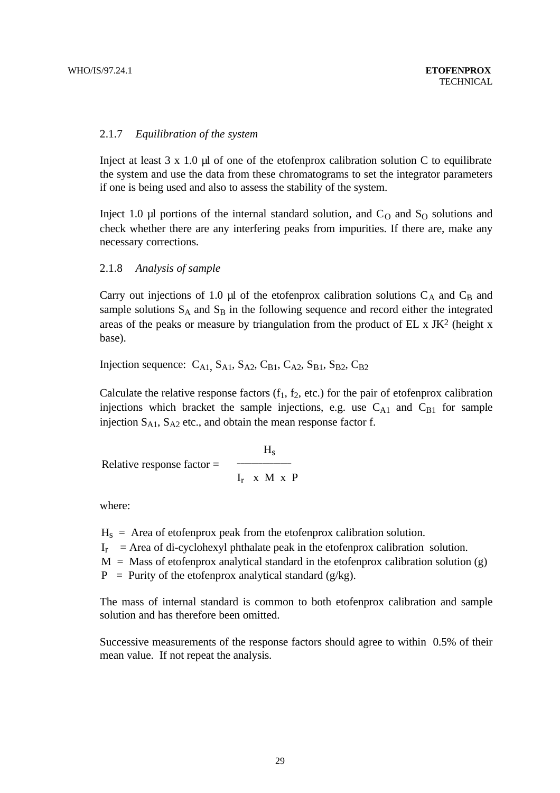## 2.1.7 *Equilibration of the system*

Inject at least  $3 \times 1.0$  µ of one of the etofenprox calibration solution C to equilibrate the system and use the data from these chromatograms to set the integrator parameters if one is being used and also to assess the stability of the system.

Inject 1.0  $\mu$ l portions of the internal standard solution, and C<sub>O</sub> and S<sub>O</sub> solutions and check whether there are any interfering peaks from impurities. If there are, make any necessary corrections.

#### 2.1.8 *Analysis of sample*

Carry out injections of 1.0  $\mu$ l of the etofenprox calibration solutions C<sub>A</sub> and C<sub>B</sub> and sample solutions  $S_A$  and  $S_B$  in the following sequence and record either the integrated areas of the peaks or measure by triangulation from the product of  $EL \times JK^2$  (height x base).

Injection sequence:  $C_{A1}$ ,  $S_{A1}$ ,  $S_{A2}$ ,  $C_{B1}$ ,  $C_{A2}$ ,  $S_{B1}$ ,  $S_{B2}$ ,  $C_{B2}$ 

Calculate the relative response factors  $(f_1, f_2, \text{etc.})$  for the pair of etofenprox calibration injections which bracket the sample injections, e.g. use  $C_{A1}$  and  $C_{B1}$  for sample injection  $S_{A1}$ ,  $S_{A2}$  etc., and obtain the mean response factor f.

Relative response factor = 
$$
\frac{H_s}{I_r \times M \times P}
$$

where:

 $H<sub>s</sub>$  = Area of etofenprox peak from the etofenprox calibration solution.

 $I_r$  = Area of di-cyclohexyl phthalate peak in the etofenprox calibration solution.

 $M =$  Mass of etofenprox analytical standard in the etofenprox calibration solution (g)

 $P =$  Purity of the etofenprox analytical standard (g/kg).

The mass of internal standard is common to both etofenprox calibration and sample solution and has therefore been omitted.

Successive measurements of the response factors should agree to within 0.5% of their mean value. If not repeat the analysis.